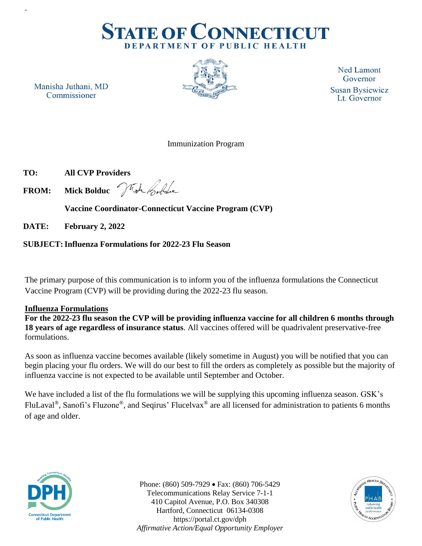

Manisha Juthani, MD Commissioner

-



**Ned Lamont** Governor **Susan Bysiewicz** Lt. Governor

## Immunization Program

 **TO: All CVP Providers**

 **FROM: Mick Bolduc**

 **Vaccine Coordinator-Connecticut Vaccine Program (CVP)**

 **DATE: February 2, 2022**

## **SUBJECT:Influenza Formulations for 2022-23 Flu Season**

The primary purpose of this communication is to inform you of the influenza formulations the Connecticut Vaccine Program (CVP) will be providing during the 2022-23 flu season.

## **Influenza Formulations**

**For the 2022-23 flu season the CVP will be providing influenza vaccine for all children 6 months through 18 years of age regardless of insurance status**. All vaccines offered will be quadrivalent preservative-free formulations.

As soon as influenza vaccine becomes available (likely sometime in August) you will be notified that you can begin placing your flu orders. We will do our best to fill the orders as completely as possible but the majority of influenza vaccine is not expected to be available until September and October.

We have included a list of the flu formulations we will be supplying this upcoming influenza season. GSK's FluLaval®, Sanofi's Fluzone®, and Seqirus' Flucelvax® are all licensed for administration to patients 6 months of age and older.



Phone: (860) 509-7929 • Fax: (860) 706-5429 Telecommunications Relay Service 7-1-1 410 Capitol Avenue, P.O. Box 340308 Hartford, Connecticut 06134-0308 https://portal.ct.gov/dph *Affirmative Action/Equal Opportunity Employer*